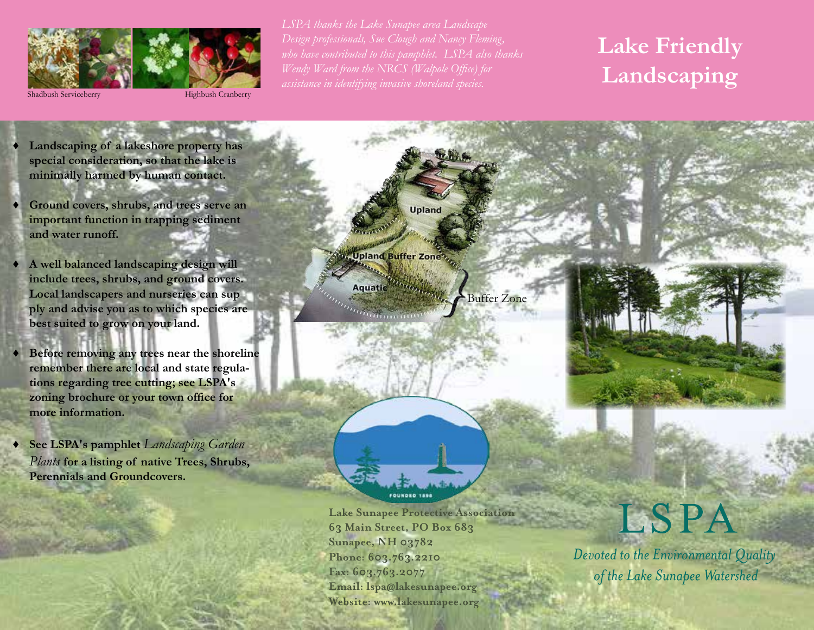

Shadbush Serviceberry

Highbush Cranberry

*assistance in identifying invasive shoreland species.* 

# **Lake Friendly Landscaping**

**♦ Landscaping of a lakeshore property has special consideration, so that the lake is minimally harmed by human contact.**

**♦ Ground covers, shrubs, and trees serve an important function in trapping sediment and water runoff.**

**♦ A well balanced landscaping design will include trees, shrubs, and ground covers. Local landscapers and nurseries can sup ply and advise you as to which species are best suited to grow on your land.**

**♦ Before removing any trees near the shoreline remember there are local and state regula- tions regarding tree cutting; see LSPA's zoning brochure or your town office for more information.**

**See LSPA's pamphlet** *Landscaping Garden Plants* **for a listing of native Trees, Shrubs, Perennials and Groundcovers.**

**Upland** Upland Buffer Zone?

Aquatic

 $a_{\ell m n n n n n n}$ 

Buffer Zone



FOUNDED 1898

**Lake Sunapee Protective Association 63 Main Street, PO Box 683 Sunapee, NH 03782 Phone: 603.763.2210 Fax: 603.763.2077 Email: lspa@lakesunapee.org Website: www.lakesunapee.org**

# LSPA

Devoted to the Environmental Quality of the Lake Sunapee Watershed